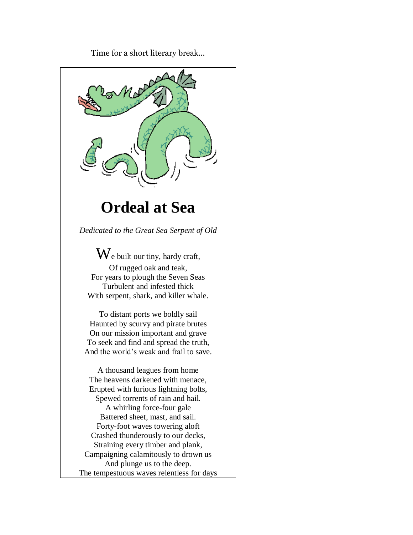Time for a short literary break…

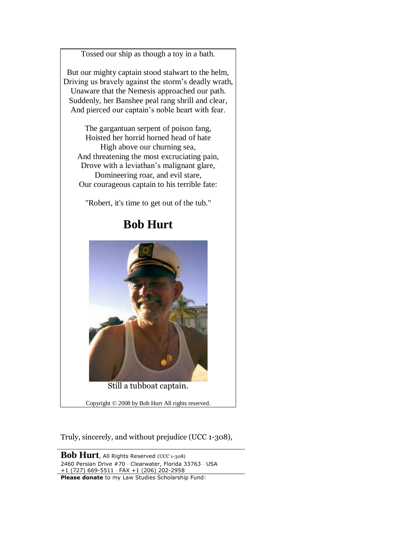Tossed our ship as though a toy in a bath.

But our mighty captain stood stalwart to the helm, Driving us bravely against the storm's deadly wrath, Unaware that the Nemesis approached our path. Suddenly, her Banshee peal rang shrill and clear, And pierced our captain's noble heart with fear.

The gargantuan serpent of poison fang, Hoisted her horrid horned head of hate High above our churning sea, And threatening the most excruciating pain, Drove with a leviathan's malignant glare, Domineering roar, and evil stare, Our courageous captain to his terrible fate:

"Robert, it's time to get out of the tub."

## **Bob Hurt**



Still a tubboat captain.

Copyright © 2008 by Bob Hurt All rights reserved.

Truly, sincerely, and without prejudice (UCC 1-308),

**Bob Hurt**, All Rights Reserved (UCC 1-308) 2460 Persian Drive #70 · Clearwater, Florida 33763 · USA +1 (727) 669-5511 FAX +1 (206) 202-2958 **Please donate** to my Law Studies Scholarship Fund: